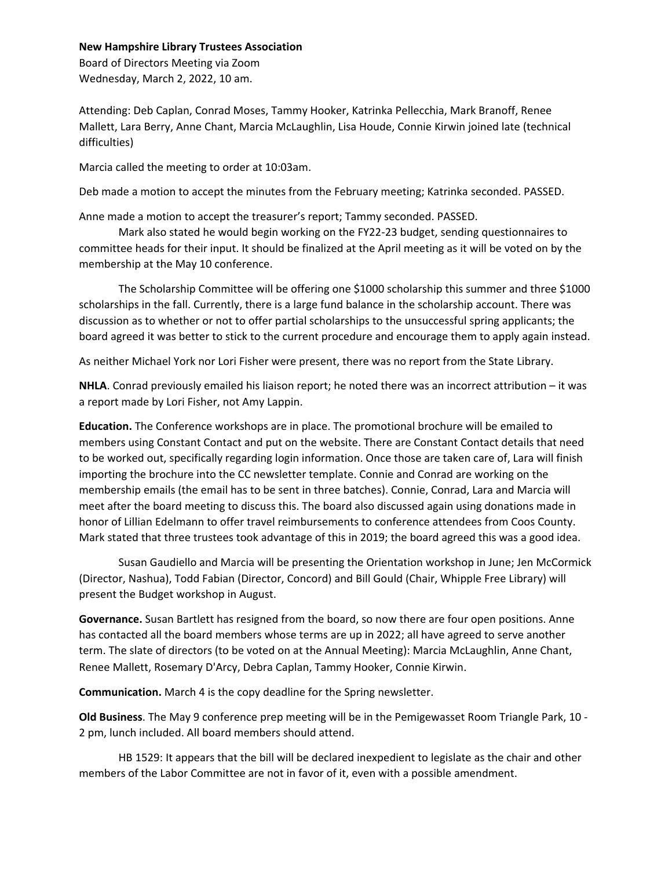## **New Hampshire Library Trustees Association**

Board of Directors Meeting via Zoom Wednesday, March 2, 2022, 10 am.

Attending: Deb Caplan, Conrad Moses, Tammy Hooker, Katrinka Pellecchia, Mark Branoff, Renee Mallett, Lara Berry, Anne Chant, Marcia McLaughlin, Lisa Houde, Connie Kirwin joined late (technical difficulties)

Marcia called the meeting to order at 10:03am.

Deb made a motion to accept the minutes from the February meeting; Katrinka seconded. PASSED.

Anne made a motion to accept the treasurer's report; Tammy seconded. PASSED.

 Mark also stated he would begin working on the FY22-23 budget, sending questionnaires to committee heads for their input. It should be finalized at the April meeting as it will be voted on by the membership at the May 10 conference.

 The Scholarship Committee will be offering one \$1000 scholarship this summer and three \$1000 scholarships in the fall. Currently, there is a large fund balance in the scholarship account. There was discussion as to whether or not to offer partial scholarships to the unsuccessful spring applicants; the board agreed it was better to stick to the current procedure and encourage them to apply again instead.

As neither Michael York nor Lori Fisher were present, there was no report from the State Library.

**NHLA**. Conrad previously emailed his liaison report; he noted there was an incorrect attribution – it was a report made by Lori Fisher, not Amy Lappin.

**Education.** The Conference workshops are in place. The promotional brochure will be emailed to members using Constant Contact and put on the website. There are Constant Contact details that need to be worked out, specifically regarding login information. Once those are taken care of, Lara will finish importing the brochure into the CC newsletter template. Connie and Conrad are working on the membership emails (the email has to be sent in three batches). Connie, Conrad, Lara and Marcia will meet after the board meeting to discuss this. The board also discussed again using donations made in honor of Lillian Edelmann to offer travel reimbursements to conference attendees from Coos County. Mark stated that three trustees took advantage of this in 2019; the board agreed this was a good idea.

 Susan Gaudiello and Marcia will be presenting the Orientation workshop in June; Jen McCormick (Director, Nashua), Todd Fabian (Director, Concord) and Bill Gould (Chair, Whipple Free Library) will present the Budget workshop in August.

**Governance.** Susan Bartlett has resigned from the board, so now there are four open positions. Anne has contacted all the board members whose terms are up in 2022; all have agreed to serve another term. The slate of directors (to be voted on at the Annual Meeting): Marcia McLaughlin, Anne Chant, Renee Mallett, Rosemary D'Arcy, Debra Caplan, Tammy Hooker, Connie Kirwin.

**Communication.** March 4 is the copy deadline for the Spring newsletter.

**Old Business**. The May 9 conference prep meeting will be in the Pemigewasset Room Triangle Park, 10 - 2 pm, lunch included. All board members should attend.

 HB 1529: It appears that the bill will be declared inexpedient to legislate as the chair and other members of the Labor Committee are not in favor of it, even with a possible amendment.